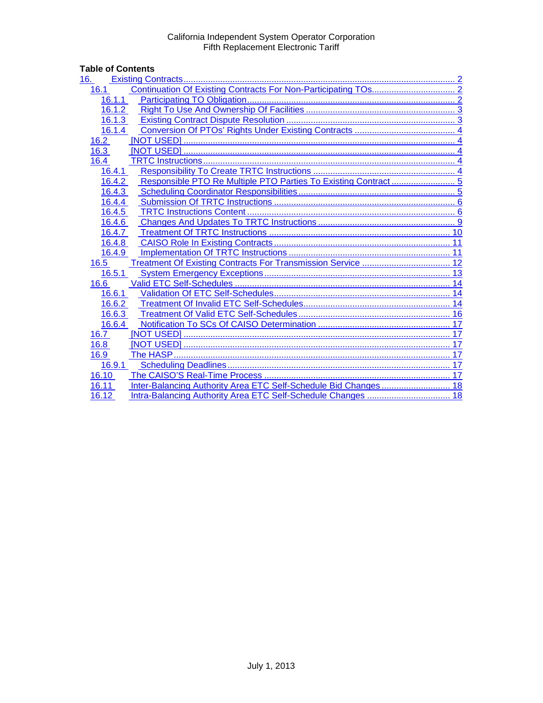# Table of Contents<br>16. Existing Co

| 16.                                                                   |    |
|-----------------------------------------------------------------------|----|
| 16.1                                                                  |    |
| 16.1.1                                                                |    |
| 16.1.2                                                                |    |
| 16.1.3                                                                |    |
| 16.1.4                                                                |    |
| 16.2                                                                  |    |
| 16.3                                                                  |    |
| 16.4                                                                  |    |
| 16.4.1                                                                |    |
| 16.4.2                                                                |    |
| 16.4.3                                                                |    |
| 16.4.4                                                                |    |
| 16.4.5                                                                |    |
| 16.4.6                                                                |    |
| 16.4.7                                                                |    |
| 16.4.8                                                                |    |
| 16.4.9                                                                |    |
| Treatment Of Existing Contracts For Transmission Service  12<br>16.5  |    |
| 16.5.1                                                                |    |
| 16.6                                                                  |    |
| 16.6.1                                                                |    |
| 16.6.2                                                                |    |
| 16.6.3                                                                |    |
| 16.6.4                                                                |    |
| 16.7                                                                  |    |
| 16.8                                                                  | 17 |
| 16.9                                                                  | 17 |
| 16.9.1                                                                |    |
| 16.10                                                                 |    |
| 16.11                                                                 |    |
| Intra-Balancing Authority Area ETC Self-Schedule Changes  18<br>16.12 |    |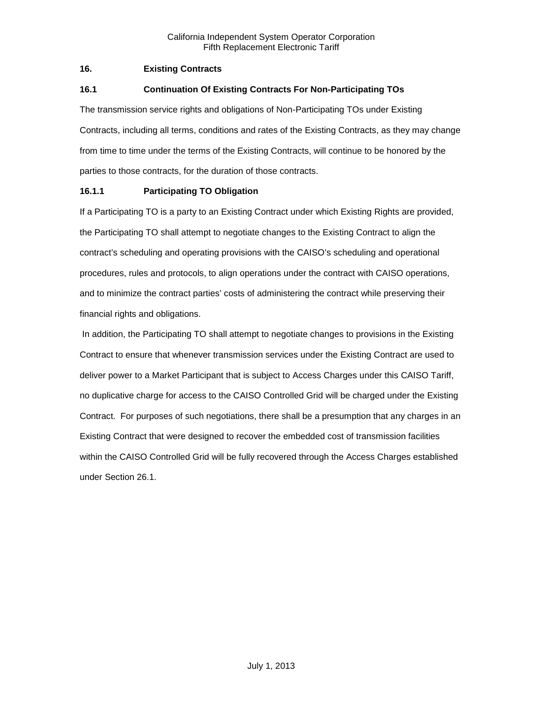# <span id="page-1-0"></span>**16. Existing Contracts**

# <span id="page-1-1"></span>**16.1 Continuation Of Existing Contracts For Non-Participating TOs**

The transmission service rights and obligations of Non-Participating TOs under Existing Contracts, including all terms, conditions and rates of the Existing Contracts, as they may change from time to time under the terms of the Existing Contracts, will continue to be honored by the parties to those contracts, for the duration of those contracts.

# <span id="page-1-2"></span>**16.1.1 Participating TO Obligation**

If a Participating TO is a party to an Existing Contract under which Existing Rights are provided, the Participating TO shall attempt to negotiate changes to the Existing Contract to align the contract's scheduling and operating provisions with the CAISO's scheduling and operational procedures, rules and protocols, to align operations under the contract with CAISO operations, and to minimize the contract parties' costs of administering the contract while preserving their financial rights and obligations.

In addition, the Participating TO shall attempt to negotiate changes to provisions in the Existing Contract to ensure that whenever transmission services under the Existing Contract are used to deliver power to a Market Participant that is subject to Access Charges under this CAISO Tariff, no duplicative charge for access to the CAISO Controlled Grid will be charged under the Existing Contract. For purposes of such negotiations, there shall be a presumption that any charges in an Existing Contract that were designed to recover the embedded cost of transmission facilities within the CAISO Controlled Grid will be fully recovered through the Access Charges established under Section 26.1.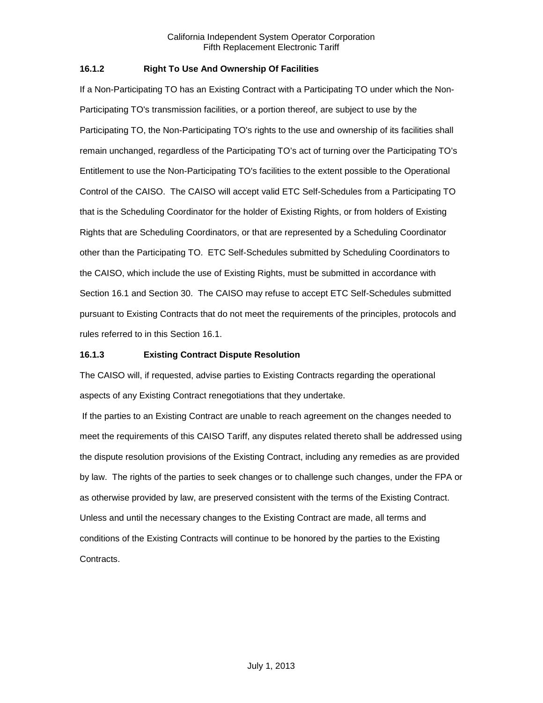# <span id="page-2-0"></span>**16.1.2 Right To Use And Ownership Of Facilities**

If a Non-Participating TO has an Existing Contract with a Participating TO under which the Non-Participating TO's transmission facilities, or a portion thereof, are subject to use by the Participating TO, the Non-Participating TO's rights to the use and ownership of its facilities shall remain unchanged, regardless of the Participating TO's act of turning over the Participating TO's Entitlement to use the Non-Participating TO's facilities to the extent possible to the Operational Control of the CAISO. The CAISO will accept valid ETC Self-Schedules from a Participating TO that is the Scheduling Coordinator for the holder of Existing Rights, or from holders of Existing Rights that are Scheduling Coordinators, or that are represented by a Scheduling Coordinator other than the Participating TO. ETC Self-Schedules submitted by Scheduling Coordinators to the CAISO, which include the use of Existing Rights, must be submitted in accordance with Section 16.1 and Section 30. The CAISO may refuse to accept ETC Self-Schedules submitted pursuant to Existing Contracts that do not meet the requirements of the principles, protocols and rules referred to in this Section 16.1.

# <span id="page-2-1"></span>**16.1.3 Existing Contract Dispute Resolution**

The CAISO will, if requested, advise parties to Existing Contracts regarding the operational aspects of any Existing Contract renegotiations that they undertake.

If the parties to an Existing Contract are unable to reach agreement on the changes needed to meet the requirements of this CAISO Tariff, any disputes related thereto shall be addressed using the dispute resolution provisions of the Existing Contract, including any remedies as are provided by law. The rights of the parties to seek changes or to challenge such changes, under the FPA or as otherwise provided by law, are preserved consistent with the terms of the Existing Contract. Unless and until the necessary changes to the Existing Contract are made, all terms and conditions of the Existing Contracts will continue to be honored by the parties to the Existing Contracts.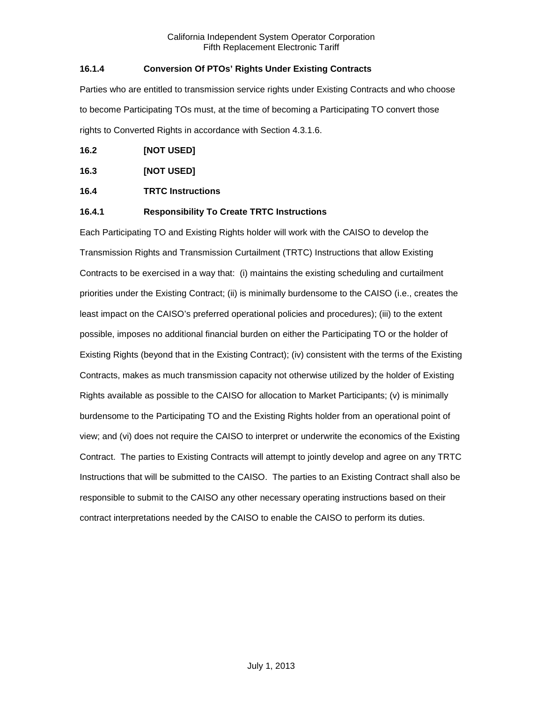# <span id="page-3-0"></span>**16.1.4 Conversion Of PTOs' Rights Under Existing Contracts**

Parties who are entitled to transmission service rights under Existing Contracts and who choose to become Participating TOs must, at the time of becoming a Participating TO convert those rights to Converted Rights in accordance with Section 4.3.1.6.

<span id="page-3-1"></span>

<span id="page-3-2"></span>**16.3 [NOT USED]**

# <span id="page-3-3"></span>**16.4 TRTC Instructions**

# <span id="page-3-4"></span>**16.4.1 Responsibility To Create TRTC Instructions**

Each Participating TO and Existing Rights holder will work with the CAISO to develop the Transmission Rights and Transmission Curtailment (TRTC) Instructions that allow Existing Contracts to be exercised in a way that: (i) maintains the existing scheduling and curtailment priorities under the Existing Contract; (ii) is minimally burdensome to the CAISO (i.e., creates the least impact on the CAISO's preferred operational policies and procedures); (iii) to the extent possible, imposes no additional financial burden on either the Participating TO or the holder of Existing Rights (beyond that in the Existing Contract); (iv) consistent with the terms of the Existing Contracts, makes as much transmission capacity not otherwise utilized by the holder of Existing Rights available as possible to the CAISO for allocation to Market Participants; (v) is minimally burdensome to the Participating TO and the Existing Rights holder from an operational point of view; and (vi) does not require the CAISO to interpret or underwrite the economics of the Existing Contract. The parties to Existing Contracts will attempt to jointly develop and agree on any TRTC Instructions that will be submitted to the CAISO. The parties to an Existing Contract shall also be responsible to submit to the CAISO any other necessary operating instructions based on their contract interpretations needed by the CAISO to enable the CAISO to perform its duties.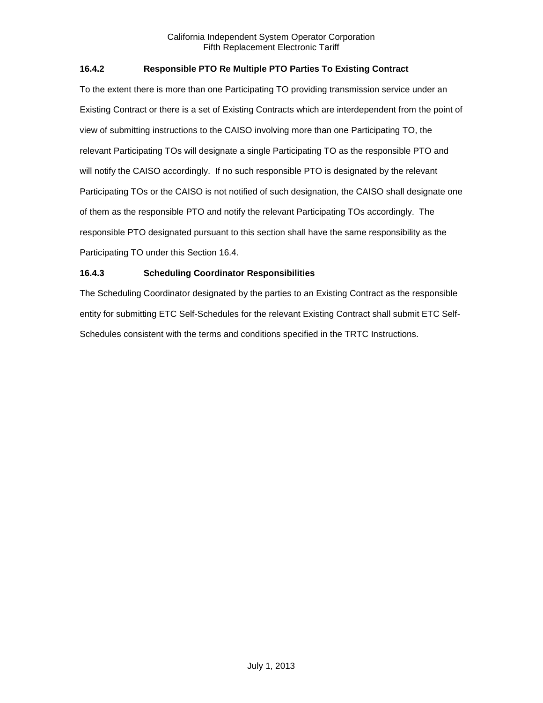# <span id="page-4-0"></span>**16.4.2 Responsible PTO Re Multiple PTO Parties To Existing Contract**

To the extent there is more than one Participating TO providing transmission service under an Existing Contract or there is a set of Existing Contracts which are interdependent from the point of view of submitting instructions to the CAISO involving more than one Participating TO, the relevant Participating TOs will designate a single Participating TO as the responsible PTO and will notify the CAISO accordingly. If no such responsible PTO is designated by the relevant Participating TOs or the CAISO is not notified of such designation, the CAISO shall designate one of them as the responsible PTO and notify the relevant Participating TOs accordingly. The responsible PTO designated pursuant to this section shall have the same responsibility as the Participating TO under this Section 16.4.

# <span id="page-4-1"></span>**16.4.3 Scheduling Coordinator Responsibilities**

The Scheduling Coordinator designated by the parties to an Existing Contract as the responsible entity for submitting ETC Self-Schedules for the relevant Existing Contract shall submit ETC Self-Schedules consistent with the terms and conditions specified in the TRTC Instructions.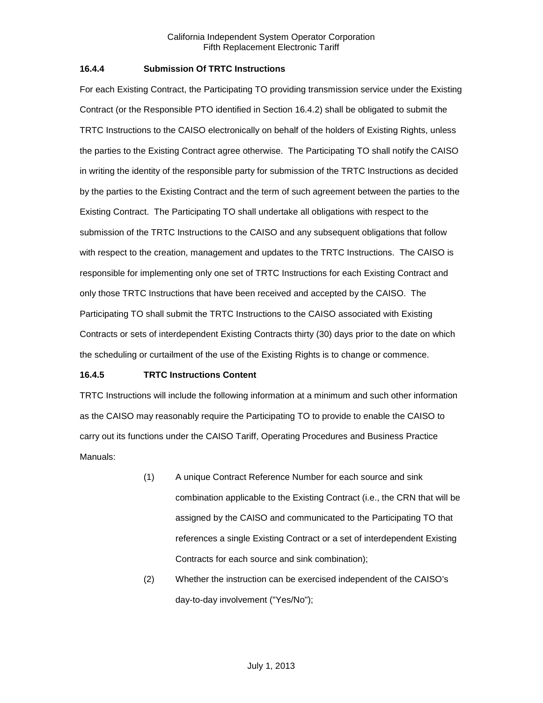# <span id="page-5-0"></span>**16.4.4 Submission Of TRTC Instructions**

For each Existing Contract, the Participating TO providing transmission service under the Existing Contract (or the Responsible PTO identified in Section 16.4.2) shall be obligated to submit the TRTC Instructions to the CAISO electronically on behalf of the holders of Existing Rights, unless the parties to the Existing Contract agree otherwise. The Participating TO shall notify the CAISO in writing the identity of the responsible party for submission of the TRTC Instructions as decided by the parties to the Existing Contract and the term of such agreement between the parties to the Existing Contract. The Participating TO shall undertake all obligations with respect to the submission of the TRTC Instructions to the CAISO and any subsequent obligations that follow with respect to the creation, management and updates to the TRTC Instructions. The CAISO is responsible for implementing only one set of TRTC Instructions for each Existing Contract and only those TRTC Instructions that have been received and accepted by the CAISO. The Participating TO shall submit the TRTC Instructions to the CAISO associated with Existing Contracts or sets of interdependent Existing Contracts thirty (30) days prior to the date on which the scheduling or curtailment of the use of the Existing Rights is to change or commence.

# <span id="page-5-1"></span>**16.4.5 TRTC Instructions Content**

TRTC Instructions will include the following information at a minimum and such other information as the CAISO may reasonably require the Participating TO to provide to enable the CAISO to carry out its functions under the CAISO Tariff, Operating Procedures and Business Practice Manuals:

- (1) A unique Contract Reference Number for each source and sink combination applicable to the Existing Contract (i.e., the CRN that will be assigned by the CAISO and communicated to the Participating TO that references a single Existing Contract or a set of interdependent Existing Contracts for each source and sink combination);
- (2) Whether the instruction can be exercised independent of the CAISO's day-to-day involvement ("Yes/No");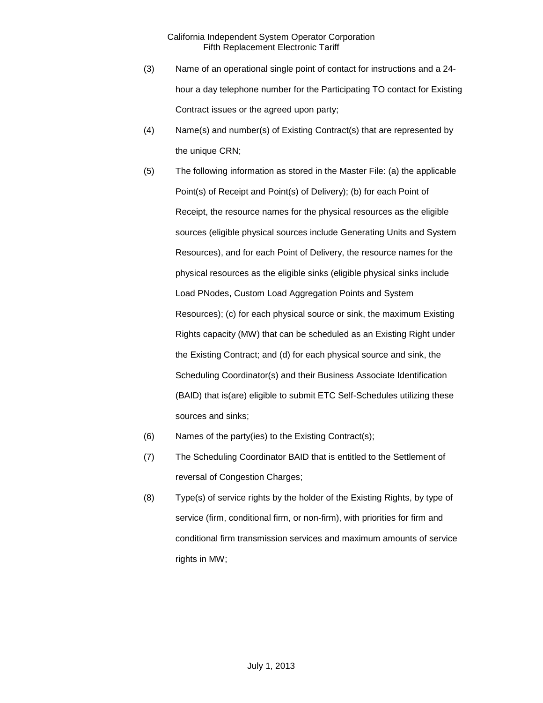- (3) Name of an operational single point of contact for instructions and a 24 hour a day telephone number for the Participating TO contact for Existing Contract issues or the agreed upon party;
- (4) Name(s) and number(s) of Existing Contract(s) that are represented by the unique CRN;
- (5) The following information as stored in the Master File: (a) the applicable Point(s) of Receipt and Point(s) of Delivery); (b) for each Point of Receipt, the resource names for the physical resources as the eligible sources (eligible physical sources include Generating Units and System Resources), and for each Point of Delivery, the resource names for the physical resources as the eligible sinks (eligible physical sinks include Load PNodes, Custom Load Aggregation Points and System Resources); (c) for each physical source or sink, the maximum Existing Rights capacity (MW) that can be scheduled as an Existing Right under the Existing Contract; and (d) for each physical source and sink, the Scheduling Coordinator(s) and their Business Associate Identification (BAID) that is(are) eligible to submit ETC Self-Schedules utilizing these sources and sinks;
- (6) Names of the party(ies) to the Existing Contract(s);
- (7) The Scheduling Coordinator BAID that is entitled to the Settlement of reversal of Congestion Charges;
- (8) Type(s) of service rights by the holder of the Existing Rights, by type of service (firm, conditional firm, or non-firm), with priorities for firm and conditional firm transmission services and maximum amounts of service rights in MW;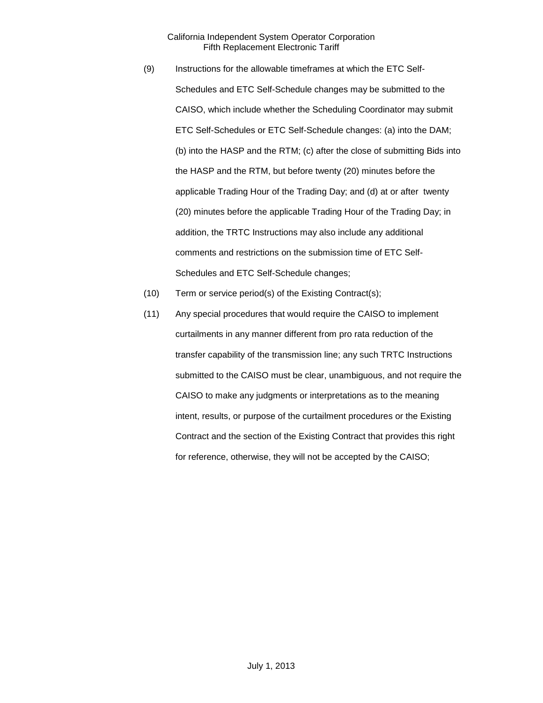(9) Instructions for the allowable timeframes at which the ETC Self-Schedules and ETC Self-Schedule changes may be submitted to the CAISO, which include whether the Scheduling Coordinator may submit ETC Self-Schedules or ETC Self-Schedule changes: (a) into the DAM; (b) into the HASP and the RTM; (c) after the close of submitting Bids into the HASP and the RTM, but before twenty (20) minutes before the applicable Trading Hour of the Trading Day; and (d) at or after twenty (20) minutes before the applicable Trading Hour of the Trading Day; in addition, the TRTC Instructions may also include any additional comments and restrictions on the submission time of ETC Self-Schedules and ETC Self-Schedule changes;

- (10) Term or service period(s) of the Existing Contract(s);
- (11) Any special procedures that would require the CAISO to implement curtailments in any manner different from pro rata reduction of the transfer capability of the transmission line; any such TRTC Instructions submitted to the CAISO must be clear, unambiguous, and not require the CAISO to make any judgments or interpretations as to the meaning intent, results, or purpose of the curtailment procedures or the Existing Contract and the section of the Existing Contract that provides this right for reference, otherwise, they will not be accepted by the CAISO;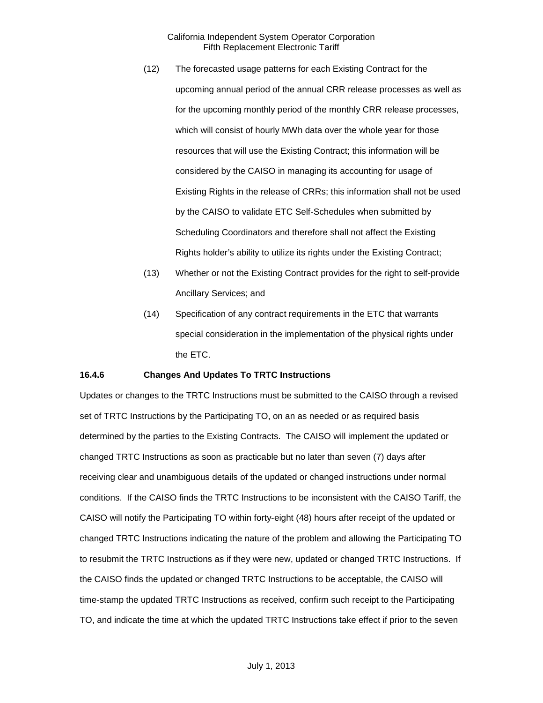- (12) The forecasted usage patterns for each Existing Contract for the upcoming annual period of the annual CRR release processes as well as for the upcoming monthly period of the monthly CRR release processes, which will consist of hourly MWh data over the whole year for those resources that will use the Existing Contract; this information will be considered by the CAISO in managing its accounting for usage of Existing Rights in the release of CRRs; this information shall not be used by the CAISO to validate ETC Self-Schedules when submitted by Scheduling Coordinators and therefore shall not affect the Existing Rights holder's ability to utilize its rights under the Existing Contract;
- (13) Whether or not the Existing Contract provides for the right to self-provide Ancillary Services; and
- (14) Specification of any contract requirements in the ETC that warrants special consideration in the implementation of the physical rights under the ETC.

#### <span id="page-8-0"></span>**16.4.6 Changes And Updates To TRTC Instructions**

Updates or changes to the TRTC Instructions must be submitted to the CAISO through a revised set of TRTC Instructions by the Participating TO, on an as needed or as required basis determined by the parties to the Existing Contracts. The CAISO will implement the updated or changed TRTC Instructions as soon as practicable but no later than seven (7) days after receiving clear and unambiguous details of the updated or changed instructions under normal conditions. If the CAISO finds the TRTC Instructions to be inconsistent with the CAISO Tariff, the CAISO will notify the Participating TO within forty-eight (48) hours after receipt of the updated or changed TRTC Instructions indicating the nature of the problem and allowing the Participating TO to resubmit the TRTC Instructions as if they were new, updated or changed TRTC Instructions. If the CAISO finds the updated or changed TRTC Instructions to be acceptable, the CAISO will time-stamp the updated TRTC Instructions as received, confirm such receipt to the Participating TO, and indicate the time at which the updated TRTC Instructions take effect if prior to the seven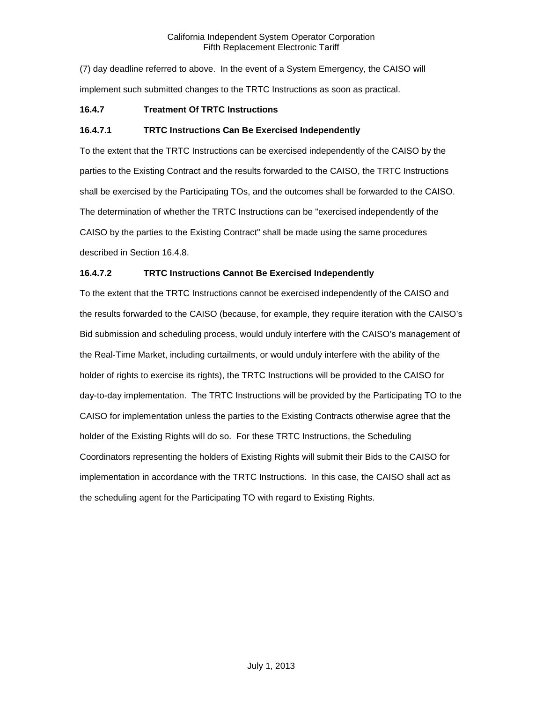(7) day deadline referred to above. In the event of a System Emergency, the CAISO will implement such submitted changes to the TRTC Instructions as soon as practical.

# <span id="page-9-0"></span>**16.4.7 Treatment Of TRTC Instructions**

# **16.4.7.1 TRTC Instructions Can Be Exercised Independently**

To the extent that the TRTC Instructions can be exercised independently of the CAISO by the parties to the Existing Contract and the results forwarded to the CAISO, the TRTC Instructions shall be exercised by the Participating TOs, and the outcomes shall be forwarded to the CAISO. The determination of whether the TRTC Instructions can be "exercised independently of the CAISO by the parties to the Existing Contract" shall be made using the same procedures described in Section 16.4.8.

# **16.4.7.2 TRTC Instructions Cannot Be Exercised Independently**

To the extent that the TRTC Instructions cannot be exercised independently of the CAISO and the results forwarded to the CAISO (because, for example, they require iteration with the CAISO's Bid submission and scheduling process, would unduly interfere with the CAISO's management of the Real-Time Market, including curtailments, or would unduly interfere with the ability of the holder of rights to exercise its rights), the TRTC Instructions will be provided to the CAISO for day-to-day implementation. The TRTC Instructions will be provided by the Participating TO to the CAISO for implementation unless the parties to the Existing Contracts otherwise agree that the holder of the Existing Rights will do so. For these TRTC Instructions, the Scheduling Coordinators representing the holders of Existing Rights will submit their Bids to the CAISO for implementation in accordance with the TRTC Instructions. In this case, the CAISO shall act as the scheduling agent for the Participating TO with regard to Existing Rights.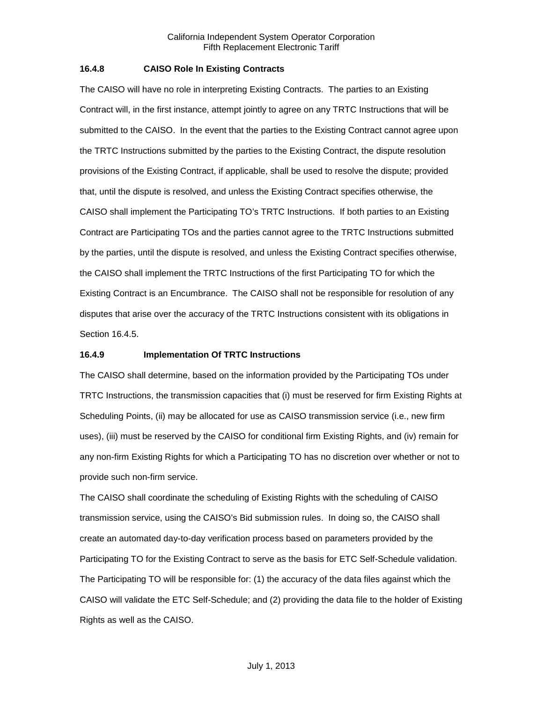## <span id="page-10-0"></span>**16.4.8 CAISO Role In Existing Contracts**

The CAISO will have no role in interpreting Existing Contracts. The parties to an Existing Contract will, in the first instance, attempt jointly to agree on any TRTC Instructions that will be submitted to the CAISO. In the event that the parties to the Existing Contract cannot agree upon the TRTC Instructions submitted by the parties to the Existing Contract, the dispute resolution provisions of the Existing Contract, if applicable, shall be used to resolve the dispute; provided that, until the dispute is resolved, and unless the Existing Contract specifies otherwise, the CAISO shall implement the Participating TO's TRTC Instructions. If both parties to an Existing Contract are Participating TOs and the parties cannot agree to the TRTC Instructions submitted by the parties, until the dispute is resolved, and unless the Existing Contract specifies otherwise, the CAISO shall implement the TRTC Instructions of the first Participating TO for which the Existing Contract is an Encumbrance. The CAISO shall not be responsible for resolution of any disputes that arise over the accuracy of the TRTC Instructions consistent with its obligations in Section 16.4.5.

# <span id="page-10-1"></span>**16.4.9 Implementation Of TRTC Instructions**

The CAISO shall determine, based on the information provided by the Participating TOs under TRTC Instructions, the transmission capacities that (i) must be reserved for firm Existing Rights at Scheduling Points, (ii) may be allocated for use as CAISO transmission service (i.e., new firm uses), (iii) must be reserved by the CAISO for conditional firm Existing Rights, and (iv) remain for any non-firm Existing Rights for which a Participating TO has no discretion over whether or not to provide such non-firm service.

The CAISO shall coordinate the scheduling of Existing Rights with the scheduling of CAISO transmission service, using the CAISO's Bid submission rules. In doing so, the CAISO shall create an automated day-to-day verification process based on parameters provided by the Participating TO for the Existing Contract to serve as the basis for ETC Self-Schedule validation. The Participating TO will be responsible for: (1) the accuracy of the data files against which the CAISO will validate the ETC Self-Schedule; and (2) providing the data file to the holder of Existing Rights as well as the CAISO.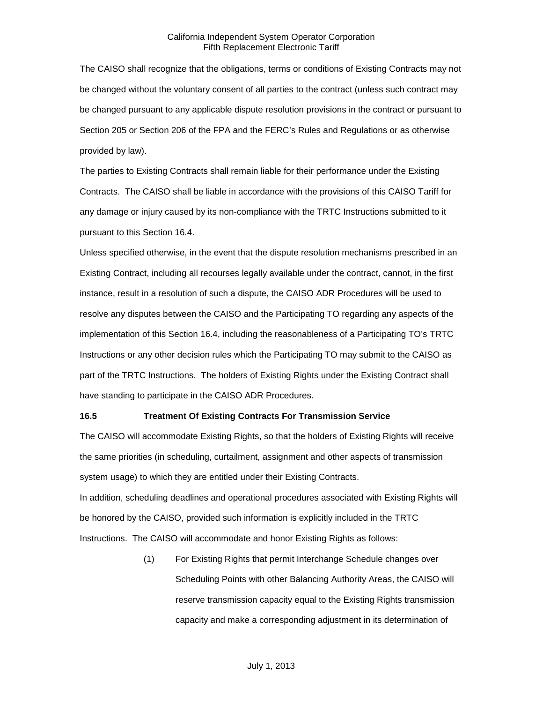The CAISO shall recognize that the obligations, terms or conditions of Existing Contracts may not be changed without the voluntary consent of all parties to the contract (unless such contract may be changed pursuant to any applicable dispute resolution provisions in the contract or pursuant to Section 205 or Section 206 of the FPA and the FERC's Rules and Regulations or as otherwise provided by law).

The parties to Existing Contracts shall remain liable for their performance under the Existing Contracts. The CAISO shall be liable in accordance with the provisions of this CAISO Tariff for any damage or injury caused by its non-compliance with the TRTC Instructions submitted to it pursuant to this Section 16.4.

Unless specified otherwise, in the event that the dispute resolution mechanisms prescribed in an Existing Contract, including all recourses legally available under the contract, cannot, in the first instance, result in a resolution of such a dispute, the CAISO ADR Procedures will be used to resolve any disputes between the CAISO and the Participating TO regarding any aspects of the implementation of this Section 16.4, including the reasonableness of a Participating TO's TRTC Instructions or any other decision rules which the Participating TO may submit to the CAISO as part of the TRTC Instructions. The holders of Existing Rights under the Existing Contract shall have standing to participate in the CAISO ADR Procedures.

#### <span id="page-11-0"></span>**16.5 Treatment Of Existing Contracts For Transmission Service**

The CAISO will accommodate Existing Rights, so that the holders of Existing Rights will receive the same priorities (in scheduling, curtailment, assignment and other aspects of transmission system usage) to which they are entitled under their Existing Contracts.

In addition, scheduling deadlines and operational procedures associated with Existing Rights will be honored by the CAISO, provided such information is explicitly included in the TRTC Instructions. The CAISO will accommodate and honor Existing Rights as follows:

> (1) For Existing Rights that permit Interchange Schedule changes over Scheduling Points with other Balancing Authority Areas, the CAISO will reserve transmission capacity equal to the Existing Rights transmission capacity and make a corresponding adjustment in its determination of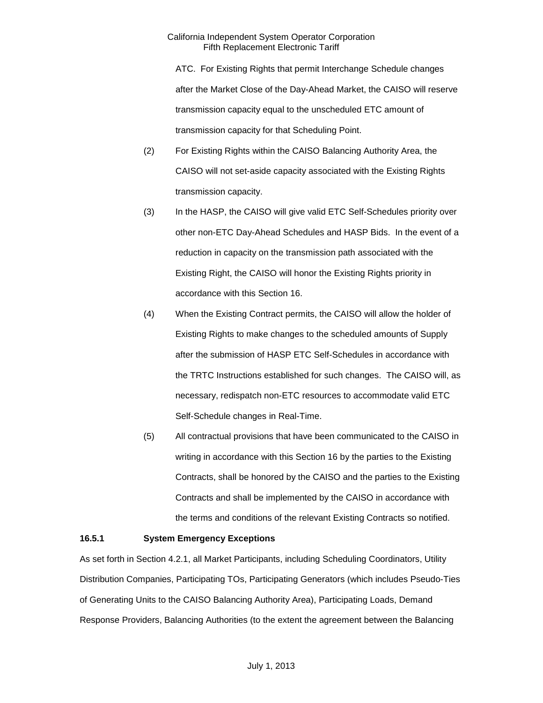- ATC. For Existing Rights that permit Interchange Schedule changes after the Market Close of the Day-Ahead Market, the CAISO will reserve transmission capacity equal to the unscheduled ETC amount of transmission capacity for that Scheduling Point.
- (2) For Existing Rights within the CAISO Balancing Authority Area, the CAISO will not set-aside capacity associated with the Existing Rights transmission capacity.
- (3) In the HASP, the CAISO will give valid ETC Self-Schedules priority over other non-ETC Day-Ahead Schedules and HASP Bids. In the event of a reduction in capacity on the transmission path associated with the Existing Right, the CAISO will honor the Existing Rights priority in accordance with this Section 16.
- (4) When the Existing Contract permits, the CAISO will allow the holder of Existing Rights to make changes to the scheduled amounts of Supply after the submission of HASP ETC Self-Schedules in accordance with the TRTC Instructions established for such changes. The CAISO will, as necessary, redispatch non-ETC resources to accommodate valid ETC Self-Schedule changes in Real-Time.
- (5) All contractual provisions that have been communicated to the CAISO in writing in accordance with this Section 16 by the parties to the Existing Contracts, shall be honored by the CAISO and the parties to the Existing Contracts and shall be implemented by the CAISO in accordance with the terms and conditions of the relevant Existing Contracts so notified.

#### <span id="page-12-0"></span>**16.5.1 System Emergency Exceptions**

As set forth in Section 4.2.1, all Market Participants, including Scheduling Coordinators, Utility Distribution Companies, Participating TOs, Participating Generators (which includes Pseudo-Ties of Generating Units to the CAISO Balancing Authority Area), Participating Loads, Demand Response Providers, Balancing Authorities (to the extent the agreement between the Balancing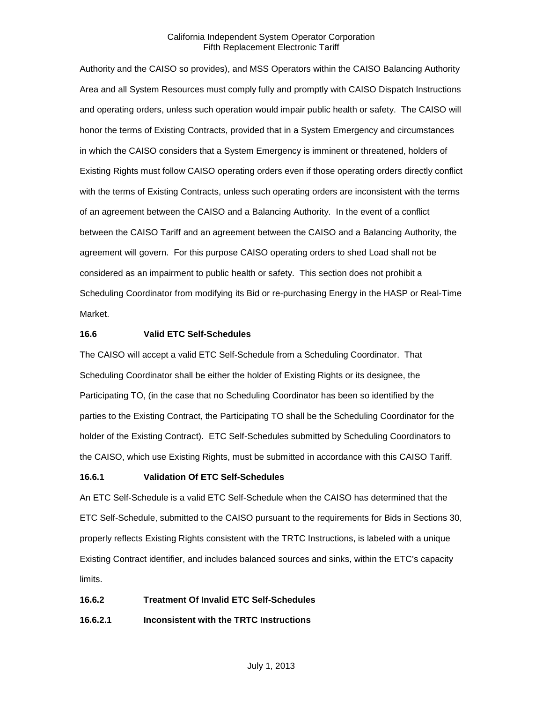Authority and the CAISO so provides), and MSS Operators within the CAISO Balancing Authority Area and all System Resources must comply fully and promptly with CAISO Dispatch Instructions and operating orders, unless such operation would impair public health or safety. The CAISO will honor the terms of Existing Contracts, provided that in a System Emergency and circumstances in which the CAISO considers that a System Emergency is imminent or threatened, holders of Existing Rights must follow CAISO operating orders even if those operating orders directly conflict with the terms of Existing Contracts, unless such operating orders are inconsistent with the terms of an agreement between the CAISO and a Balancing Authority. In the event of a conflict between the CAISO Tariff and an agreement between the CAISO and a Balancing Authority, the agreement will govern. For this purpose CAISO operating orders to shed Load shall not be considered as an impairment to public health or safety. This section does not prohibit a Scheduling Coordinator from modifying its Bid or re-purchasing Energy in the HASP or Real-Time Market.

#### <span id="page-13-0"></span>**16.6 Valid ETC Self-Schedules**

The CAISO will accept a valid ETC Self-Schedule from a Scheduling Coordinator. That Scheduling Coordinator shall be either the holder of Existing Rights or its designee, the Participating TO, (in the case that no Scheduling Coordinator has been so identified by the parties to the Existing Contract, the Participating TO shall be the Scheduling Coordinator for the holder of the Existing Contract). ETC Self-Schedules submitted by Scheduling Coordinators to the CAISO, which use Existing Rights, must be submitted in accordance with this CAISO Tariff.

# <span id="page-13-1"></span>**16.6.1 Validation Of ETC Self-Schedules**

An ETC Self-Schedule is a valid ETC Self-Schedule when the CAISO has determined that the ETC Self-Schedule, submitted to the CAISO pursuant to the requirements for Bids in Sections 30, properly reflects Existing Rights consistent with the TRTC Instructions, is labeled with a unique Existing Contract identifier, and includes balanced sources and sinks, within the ETC's capacity limits.

# <span id="page-13-2"></span>**16.6.2 Treatment Of Invalid ETC Self-Schedules**

**16.6.2.1 Inconsistent with the TRTC Instructions**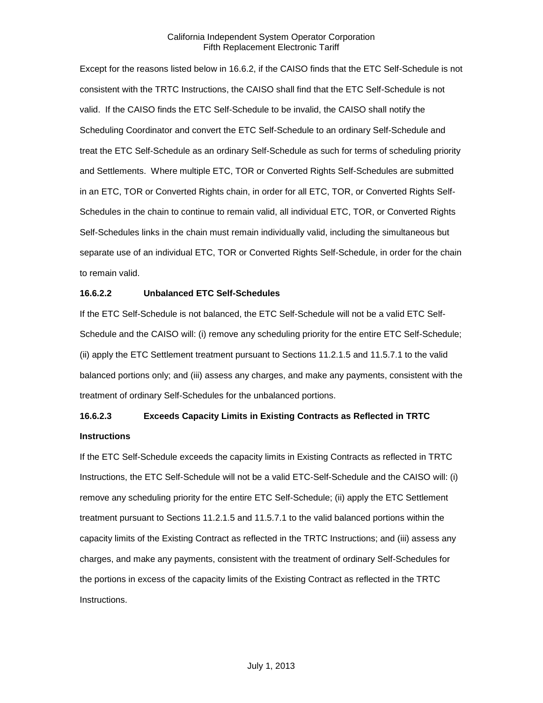Except for the reasons listed below in 16.6.2, if the CAISO finds that the ETC Self-Schedule is not consistent with the TRTC Instructions, the CAISO shall find that the ETC Self-Schedule is not valid. If the CAISO finds the ETC Self-Schedule to be invalid, the CAISO shall notify the Scheduling Coordinator and convert the ETC Self-Schedule to an ordinary Self-Schedule and treat the ETC Self-Schedule as an ordinary Self-Schedule as such for terms of scheduling priority and Settlements. Where multiple ETC, TOR or Converted Rights Self-Schedules are submitted in an ETC, TOR or Converted Rights chain, in order for all ETC, TOR, or Converted Rights Self-Schedules in the chain to continue to remain valid, all individual ETC, TOR, or Converted Rights Self-Schedules links in the chain must remain individually valid, including the simultaneous but separate use of an individual ETC, TOR or Converted Rights Self-Schedule, in order for the chain to remain valid.

#### **16.6.2.2 Unbalanced ETC Self-Schedules**

If the ETC Self-Schedule is not balanced, the ETC Self-Schedule will not be a valid ETC Self-Schedule and the CAISO will: (i) remove any scheduling priority for the entire ETC Self-Schedule; (ii) apply the ETC Settlement treatment pursuant to Sections 11.2.1.5 and 11.5.7.1 to the valid balanced portions only; and (iii) assess any charges, and make any payments, consistent with the treatment of ordinary Self-Schedules for the unbalanced portions.

# **16.6.2.3 Exceeds Capacity Limits in Existing Contracts as Reflected in TRTC Instructions**

If the ETC Self-Schedule exceeds the capacity limits in Existing Contracts as reflected in TRTC Instructions, the ETC Self-Schedule will not be a valid ETC-Self-Schedule and the CAISO will: (i) remove any scheduling priority for the entire ETC Self-Schedule; (ii) apply the ETC Settlement treatment pursuant to Sections 11.2.1.5 and 11.5.7.1 to the valid balanced portions within the capacity limits of the Existing Contract as reflected in the TRTC Instructions; and (iii) assess any charges, and make any payments, consistent with the treatment of ordinary Self-Schedules for the portions in excess of the capacity limits of the Existing Contract as reflected in the TRTC Instructions.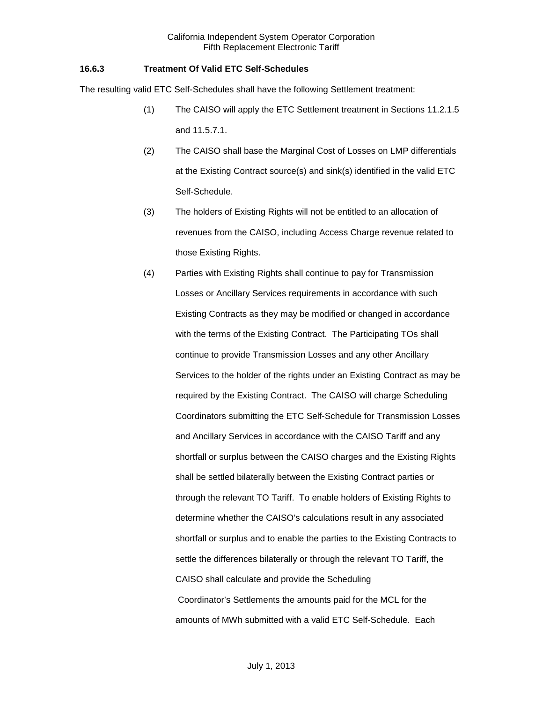# <span id="page-15-0"></span>**16.6.3 Treatment Of Valid ETC Self-Schedules**

The resulting valid ETC Self-Schedules shall have the following Settlement treatment:

- (1) The CAISO will apply the ETC Settlement treatment in Sections 11.2.1.5 and 11.5.7.1.
- (2) The CAISO shall base the Marginal Cost of Losses on LMP differentials at the Existing Contract source(s) and sink(s) identified in the valid ETC Self-Schedule.
- (3) The holders of Existing Rights will not be entitled to an allocation of revenues from the CAISO, including Access Charge revenue related to those Existing Rights.
- (4) Parties with Existing Rights shall continue to pay for Transmission Losses or Ancillary Services requirements in accordance with such Existing Contracts as they may be modified or changed in accordance with the terms of the Existing Contract. The Participating TOs shall continue to provide Transmission Losses and any other Ancillary Services to the holder of the rights under an Existing Contract as may be required by the Existing Contract. The CAISO will charge Scheduling Coordinators submitting the ETC Self-Schedule for Transmission Losses and Ancillary Services in accordance with the CAISO Tariff and any shortfall or surplus between the CAISO charges and the Existing Rights shall be settled bilaterally between the Existing Contract parties or through the relevant TO Tariff. To enable holders of Existing Rights to determine whether the CAISO's calculations result in any associated shortfall or surplus and to enable the parties to the Existing Contracts to settle the differences bilaterally or through the relevant TO Tariff, the CAISO shall calculate and provide the Scheduling Coordinator's Settlements the amounts paid for the MCL for the amounts of MWh submitted with a valid ETC Self-Schedule. Each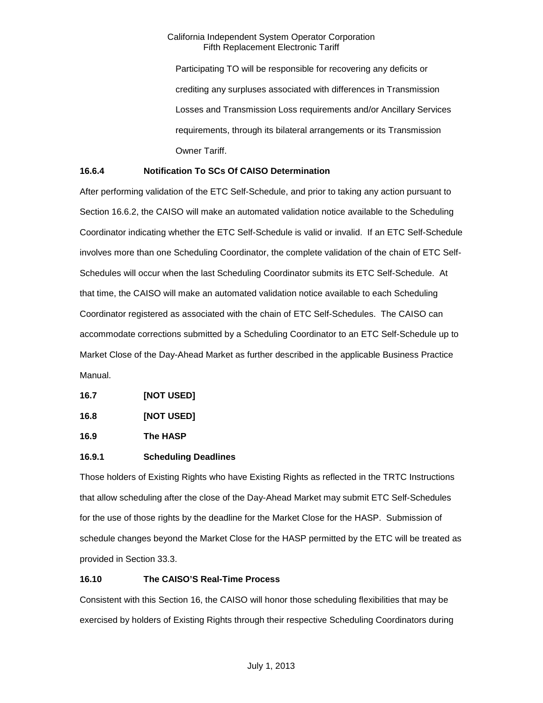Participating TO will be responsible for recovering any deficits or crediting any surpluses associated with differences in Transmission Losses and Transmission Loss requirements and/or Ancillary Services requirements, through its bilateral arrangements or its Transmission Owner Tariff.

# <span id="page-16-0"></span>**16.6.4 Notification To SCs Of CAISO Determination**

After performing validation of the ETC Self-Schedule, and prior to taking any action pursuant to Section 16.6.2, the CAISO will make an automated validation notice available to the Scheduling Coordinator indicating whether the ETC Self-Schedule is valid or invalid. If an ETC Self-Schedule involves more than one Scheduling Coordinator, the complete validation of the chain of ETC Self-Schedules will occur when the last Scheduling Coordinator submits its ETC Self-Schedule. At that time, the CAISO will make an automated validation notice available to each Scheduling Coordinator registered as associated with the chain of ETC Self-Schedules. The CAISO can accommodate corrections submitted by a Scheduling Coordinator to an ETC Self-Schedule up to Market Close of the Day-Ahead Market as further described in the applicable Business Practice Manual.

<span id="page-16-1"></span>

<span id="page-16-2"></span>**16.8 [NOT USED]**

<span id="page-16-3"></span>**16.9 The HASP**

# <span id="page-16-4"></span>**16.9.1 Scheduling Deadlines**

Those holders of Existing Rights who have Existing Rights as reflected in the TRTC Instructions that allow scheduling after the close of the Day-Ahead Market may submit ETC Self-Schedules for the use of those rights by the deadline for the Market Close for the HASP. Submission of schedule changes beyond the Market Close for the HASP permitted by the ETC will be treated as provided in Section 33.3.

# <span id="page-16-5"></span>**16.10 The CAISO'S Real-Time Process**

Consistent with this Section 16, the CAISO will honor those scheduling flexibilities that may be exercised by holders of Existing Rights through their respective Scheduling Coordinators during